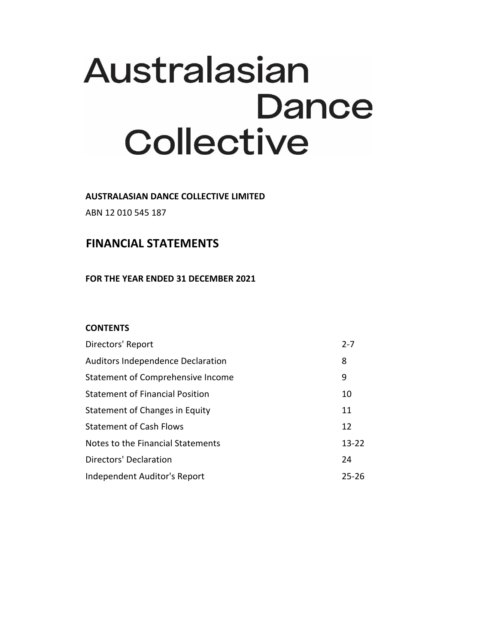# Australasian **Dance** Collective

**AUSTRALASIAN DANCE COLLECTIVE LIMITED**

ABN 12 010 545 187

# **FINANCIAL STATEMENTS**

**FOR THE YEAR ENDED 31 DECEMBER 2021**

## **CONTENTS**

| Directors' Report                      | $2 - 7$   |
|----------------------------------------|-----------|
| Auditors Independence Declaration      | 8         |
| Statement of Comprehensive Income      | 9         |
| <b>Statement of Financial Position</b> | 10        |
| Statement of Changes in Equity         | 11        |
| <b>Statement of Cash Flows</b>         | 12        |
| Notes to the Financial Statements      | $13 - 22$ |
| <b>Directors' Declaration</b>          | 24        |
| Independent Auditor's Report           | 25-26     |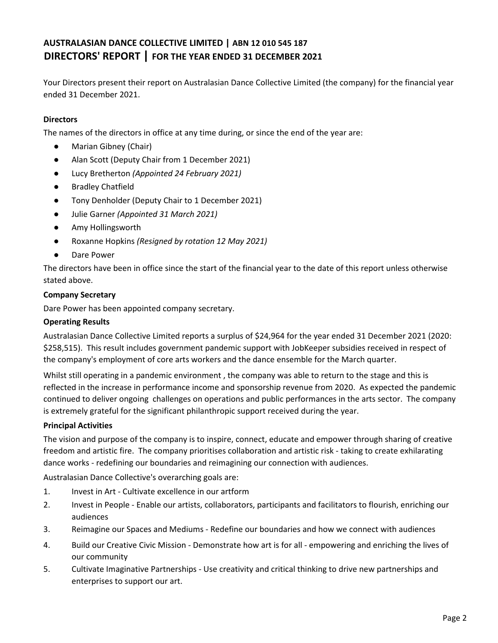Your Directors present their report on Australasian Dance Collective Limited (the company) for the financial year ended 31 December 2021.

## **Directors**

The names of the directors in office at any time during, or since the end of the year are:

- Marian Gibney (Chair)
- Alan Scott (Deputy Chair from 1 December 2021)
- Lucy Bretherton *(Appointed 24 February 2021)*
- Bradley Chatfield
- Tony Denholder (Deputy Chair to 1 December 2021)
- Julie Garner *(Appointed 31 March 2021)*
- Amy Hollingsworth
- Roxanne Hopkins *(Resigned by rotation 12 May 2021)*
- Dare Power

The directors have been in office since the start of the financial year to the date of this report unless otherwise stated above.

#### **Company Secretary**

Dare Power has been appointed company secretary.

#### **Operating Results**

Australasian Dance Collective Limited reports a surplus of \$24,964 for the year ended 31 December 2021 (2020: \$258,515). This result includes government pandemic support with JobKeeper subsidies received in respect of the company's employment of core arts workers and the dance ensemble for the March quarter.

Whilst still operating in a pandemic environment , the company was able to return to the stage and this is reflected in the increase in performance income and sponsorship revenue from 2020. As expected the pandemic continued to deliver ongoing challenges on operations and public performances in the arts sector. The company is extremely grateful for the significant philanthropic support received during the year.

#### **Principal Activities**

The vision and purpose of the company is to inspire, connect, educate and empower through sharing of creative freedom and artistic fire. The company prioritises collaboration and artistic risk - taking to create exhilarating dance works - redefining our boundaries and reimagining our connection with audiences.

Australasian Dance Collective's overarching goals are:

- 1. Invest in Art - Cultivate excellence in our artform
- 2. Invest in People - Enable our artists, collaborators, participants and facilitators to flourish, enriching our audiences
- 3. Reimagine our Spaces and Mediums - Redefine our boundaries and how we connect with audiences
- 4. Build our Creative Civic Mission - Demonstrate how art is for all - empowering and enriching the lives of our community
- 5. Cultivate Imaginative Partnerships - Use creativity and critical thinking to drive new partnerships and enterprises to support our art.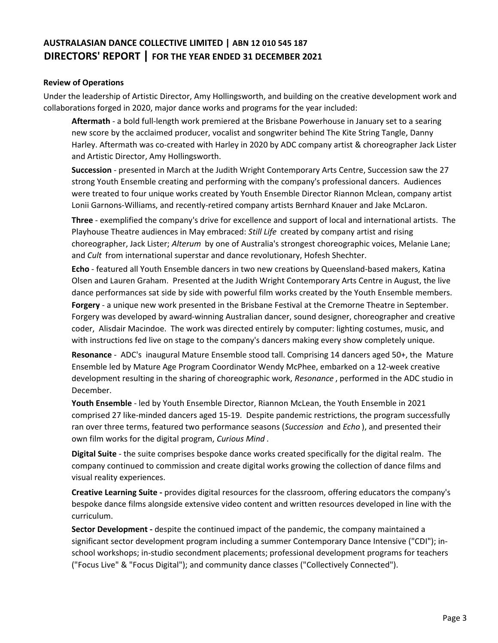#### **Review of Operations**

Under the leadership of Artistic Director, Amy Hollingsworth, and building on the creative development work and collaborations forged in 2020, major dance works and programs for the year included:

**Aftermath** - a bold full-length work premiered at the Brisbane Powerhouse in January set to a searing new score by the acclaimed producer, vocalist and songwriter behind The Kite String Tangle, Danny Harley. Aftermath was co-created with Harley in 2020 by ADC company artist & choreographer Jack Lister and Artistic Director, Amy Hollingsworth.

**Succession** - presented in March at the Judith Wright Contemporary Arts Centre, Succession saw the 27 strong Youth Ensemble creating and performing with the company's professional dancers. Audiences were treated to four unique works created by Youth Ensemble Director Riannon Mclean, company artist Lonii Garnons-Williams, and recently-retired company artists Bernhard Knauer and Jake McLaron.

**Three** - exemplified the company's drive for excellence and support of local and international artists. The Playhouse Theatre audiences in May embraced: *Still Life* created by company artist and rising choreographer, Jack Lister; *Alterum* by one of Australia's strongest choreographic voices, Melanie Lane; and *Cult* from international superstar and dance revolutionary, Hofesh Shechter.

**Echo** - featured all Youth Ensemble dancers in two new creations by Queensland-based makers, Katina Olsen and Lauren Graham. Presented at the Judith Wright Contemporary Arts Centre in August, the live dance performances sat side by side with powerful film works created by the Youth Ensemble members. **Forgery** - a unique new work presented in the Brisbane Festival at the Cremorne Theatre in September. Forgery was developed by award-winning Australian dancer, sound designer, choreographer and creative coder, Alisdair Macindoe. The work was directed entirely by computer: lighting costumes, music, and with instructions fed live on stage to the company's dancers making every show completely unique.

**Resonance** - ADC's inaugural Mature Ensemble stood tall. Comprising 14 dancers aged 50+, the Mature Ensemble led by Mature Age Program Coordinator Wendy McPhee, embarked on a 12-week creative development resulting in the sharing of choreographic work, *Resonance* , performed in the ADC studio in December.

**Youth Ensemble** - led by Youth Ensemble Director, Riannon McLean, the Youth Ensemble in 2021 comprised 27 like-minded dancers aged 15-19. Despite pandemic restrictions, the program successfully ran over three terms, featured two performance seasons (*Succession* and *Echo* ), and presented their own film works for the digital program, *Curious Mind* .

**Digital Suite** - the suite comprises bespoke dance works created specifically for the digital realm. The company continued to commission and create digital works growing the collection of dance films and visual reality experiences.

**Creative Learning Suite -** provides digital resources for the classroom, offering educators the company's bespoke dance films alongside extensive video content and written resources developed in line with the curriculum.

**Sector Development -** despite the continued impact of the pandemic, the company maintained a significant sector development program including a summer Contemporary Dance Intensive ("CDI"); inschool workshops; in-studio secondment placements; professional development programs for teachers ("Focus Live" & "Focus Digital"); and community dance classes ("Collectively Connected").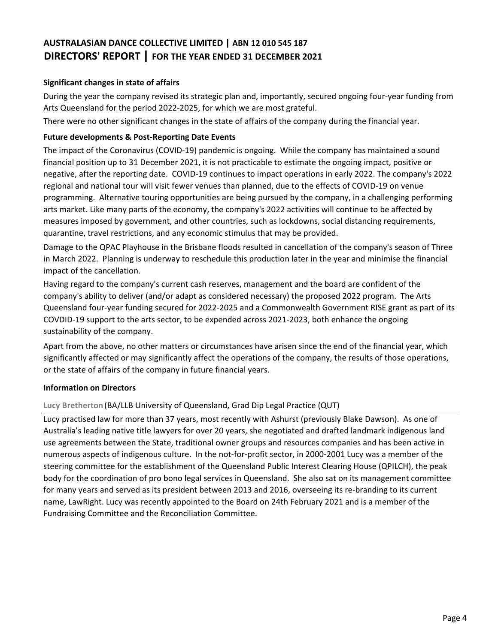## **Significant changes in state of affairs**

During the year the company revised its strategic plan and, importantly, secured ongoing four-year funding from Arts Queensland for the period 2022-2025, for which we are most grateful.

There were no other significant changes in the state of affairs of the company during the financial year.

## **Future developments & Post-Reporting Date Events**

The impact of the Coronavirus (COVID-19) pandemic is ongoing. While the company has maintained a sound financial position up to 31 December 2021, it is not practicable to estimate the ongoing impact, positive or negative, after the reporting date. COVID-19 continues to impact operations in early 2022. The company's 2022 regional and national tour will visit fewer venues than planned, due to the effects of COVID-19 on venue programming. Alternative touring opportunities are being pursued by the company, in a challenging performing arts market. Like many parts of the economy, the company's 2022 activities will continue to be affected by measures imposed by government, and other countries, such as lockdowns, social distancing requirements, quarantine, travel restrictions, and any economic stimulus that may be provided.

Damage to the QPAC Playhouse in the Brisbane floods resulted in cancellation of the company's season of Three in March 2022. Planning is underway to reschedule this production later in the year and minimise the financial impact of the cancellation.

Having regard to the company's current cash reserves, management and the board are confident of the company's ability to deliver (and/or adapt as considered necessary) the proposed 2022 program. The Arts Queensland four-year funding secured for 2022-2025 and a Commonwealth Government RISE grant as part of its COVDID-19 support to the arts sector, to be expended across 2021-2023, both enhance the ongoing sustainability of the company.

Apart from the above, no other matters or circumstances have arisen since the end of the financial year, which significantly affected or may significantly affect the operations of the company, the results of those operations, or the state of affairs of the company in future financial years.

# **Information on Directors**

# **Lucy Bretherton**(BA/LLB University of Queensland, Grad Dip Legal Practice (QUT)

Lucy practised law for more than 37 years, most recently with Ashurst (previously Blake Dawson). As one of Australia's leading native title lawyers for over 20 years, she negotiated and drafted landmark indigenous land use agreements between the State, traditional owner groups and resources companies and has been active in numerous aspects of indigenous culture. In the not-for-profit sector, in 2000-2001 Lucy was a member of the steering committee for the establishment of the Queensland Public Interest Clearing House (QPILCH), the peak body for the coordination of pro bono legal services in Queensland. She also sat on its management committee for many years and served as its president between 2013 and 2016, overseeing its re-branding to its current name, LawRight. Lucy was recently appointed to the Board on 24th February 2021 and is a member of the Fundraising Committee and the Reconciliation Committee.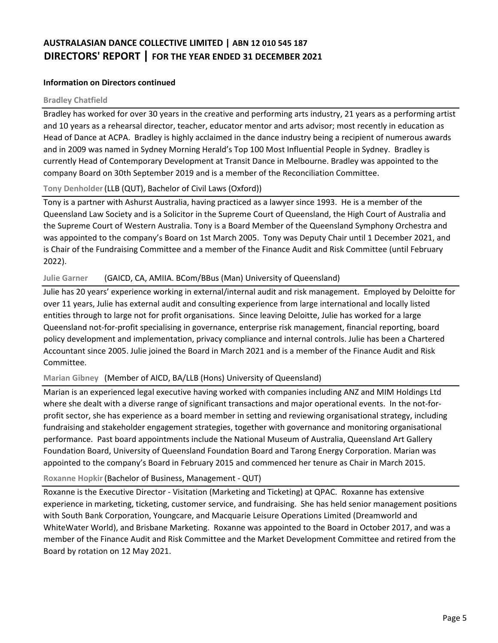#### **Information on Directors continued**

#### **Bradley Chatfield**

Bradley has worked for over 30 years in the creative and performing arts industry, 21 years as a performing artist and 10 years as a rehearsal director, teacher, educator mentor and arts advisor; most recently in education as Head of Dance at ACPA. Bradley is highly acclaimed in the dance industry being a recipient of numerous awards and in 2009 was named in Sydney Morning Herald's Top 100 Most Influential People in Sydney. Bradley is currently Head of Contemporary Development at Transit Dance in Melbourne. Bradley was appointed to the company Board on 30th September 2019 and is a member of the Reconciliation Committee.

#### **Tony Denholder**(LLB (QUT), Bachelor of Civil Laws (Oxford))

Tony is a partner with Ashurst Australia, having practiced as a lawyer since 1993. He is a member of the Queensland Law Society and is a Solicitor in the Supreme Court of Queensland, the High Court of Australia and the Supreme Court of Western Australia. Tony is a Board Member of the Queensland Symphony Orchestra and was appointed to the company's Board on 1st March 2005. Tony was Deputy Chair until 1 December 2021, and is Chair of the Fundraising Committee and a member of the Finance Audit and Risk Committee (until February 2022).

#### **Julie Garner** (GAICD, CA, AMIIA. BCom/BBus (Man) University of Queensland)

Julie has 20 years' experience working in external/internal audit and risk management. Employed by Deloitte for over 11 years, Julie has external audit and consulting experience from large international and locally listed entities through to large not for profit organisations. Since leaving Deloitte, Julie has worked for a large Queensland not-for-profit specialising in governance, enterprise risk management, financial reporting, board policy development and implementation, privacy compliance and internal controls. Julie has been a Chartered Accountant since 2005. Julie joined the Board in March 2021 and is a member of the Finance Audit and Risk Committee.

## **Marian Gibney** (Member of AICD, BA/LLB (Hons) University of Queensland)

Marian is an experienced legal executive having worked with companies including ANZ and MIM Holdings Ltd where she dealt with a diverse range of significant transactions and major operational events. In the not-forprofit sector, she has experience as a board member in setting and reviewing organisational strategy, including fundraising and stakeholder engagement strategies, together with governance and monitoring organisational performance. Past board appointments include the National Museum of Australia, Queensland Art Gallery Foundation Board, University of Queensland Foundation Board and Tarong Energy Corporation. Marian was appointed to the company's Board in February 2015 and commenced her tenure as Chair in March 2015.

## Roxanne Hopkir (Bachelor of Business, Management - QUT)

Roxanne is the Executive Director - Visitation (Marketing and Ticketing) at QPAC. Roxanne has extensive experience in marketing, ticketing, customer service, and fundraising. She has held senior management positions with South Bank Corporation, Youngcare, and Macquarie Leisure Operations Limited (Dreamworld and WhiteWater World), and Brisbane Marketing. Roxanne was appointed to the Board in October 2017, and was a member of the Finance Audit and Risk Committee and the Market Development Committee and retired from the Board by rotation on 12 May 2021.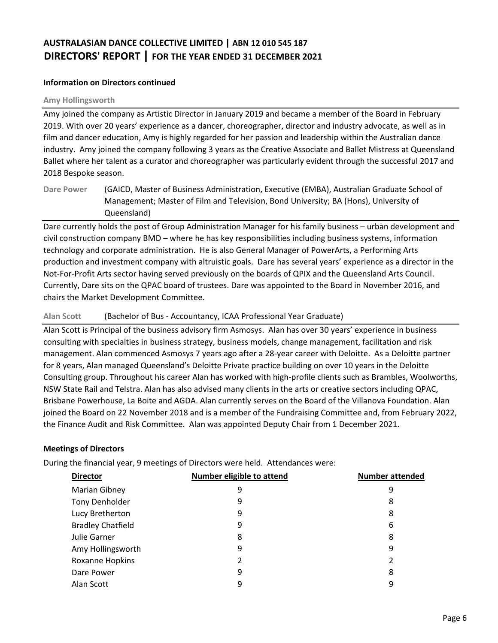#### **Information on Directors continued**

#### **Amy Hollingsworth**

Amy joined the company as Artistic Director in January 2019 and became a member of the Board in February 2019. With over 20 years' experience as a dancer, choreographer, director and industry advocate, as well as in film and dancer education, Amy is highly regarded for her passion and leadership within the Australian dance industry. Amy joined the company following 3 years as the Creative Associate and Ballet Mistress at Queensland Ballet where her talent as a curator and choreographer was particularly evident through the successful 2017 and 2018 Bespoke season.

Dare currently holds the post of Group Administration Manager for his family business – urban development and civil construction company BMD – where he has key responsibilities including business systems, information technology and corporate administration. He is also General Manager of PowerArts, a Performing Arts production and investment company with altruistic goals. Dare has several years' experience as a director in the Not-For-Profit Arts sector having served previously on the boards of QPIX and the Queensland Arts Council. Currently, Dare sits on the QPAC board of trustees. Dare was appointed to the Board in November 2016, and chairs the Market Development Committee.

#### **Alan Scott** (Bachelor of Bus - Accountancy, ICAA Professional Year Graduate)

Alan Scott is Principal of the business advisory firm Asmosys. Alan has over 30 years' experience in business consulting with specialties in business strategy, business models, change management, facilitation and risk management. Alan commenced Asmosys 7 years ago after a 28-year career with Deloitte. As a Deloitte partner for 8 years, Alan managed Queensland's Deloitte Private practice building on over 10 years in the Deloitte Consulting group. Throughout his career Alan has worked with high-profile clients such as Brambles, Woolworths, NSW State Rail and Telstra. Alan has also advised many clients in the arts or creative sectors including QPAC, Brisbane Powerhouse, La Boite and AGDA. Alan currently serves on the Board of the Villanova Foundation. Alan joined the Board on 22 November 2018 and is a member of the Fundraising Committee and, from February 2022, the Finance Audit and Risk Committee. Alan was appointed Deputy Chair from 1 December 2021.

#### **Meetings of Directors**

During the financial year, 9 meetings of Directors were held. Attendances were:

| <b>Director</b>          | Number eligible to attend | <b>Number attended</b> |
|--------------------------|---------------------------|------------------------|
| Marian Gibney            | 9                         | 9                      |
| <b>Tony Denholder</b>    | 9                         | 8                      |
| Lucy Bretherton          | 9                         | 8                      |
| <b>Bradley Chatfield</b> | 9                         | 6                      |
| Julie Garner             | 8                         | 8                      |
| Amy Hollingsworth        | 9                         | 9                      |
| Roxanne Hopkins          |                           | 2                      |
| Dare Power               | 9                         | 8                      |
| Alan Scott               | 9                         | 9                      |

**Dare Power** (GAICD, Master of Business Administration, Executive (EMBA), Australian Graduate School of Management; Master of Film and Television, Bond University; BA (Hons), University of Queensland)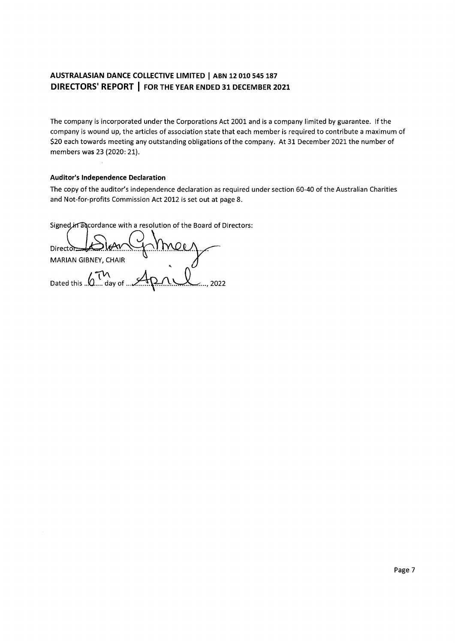The company is incorporated under the Corporations Act 2001 and is a company limited by guarantee. If the company is wound up, the articles of association state that each member is required to contribute a maximum of \$20 each towards meeting any outstanding obligations of the company. At 31 December 2021 the number of members was 23 (2020: 21).

#### **Auditor's Independence Declaration**

The copy of the auditor's independence declaration as required under section 60-40 of the Australian Charities and Not-for-profits Commission Act 2012 is set out at page 8.

Signed in adcordance with a resolution of the Board of Directors:

 $Direct$  $\geq$ MARIAN GIBNEY, CHAIR Dated this ... O.... day of ...  $..., 2022$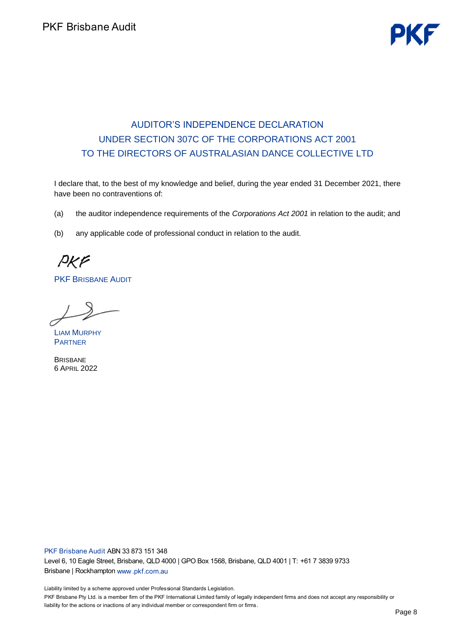# AUDITOR'S INDEPENDENCE DECLARATION UNDER SECTION 307C OF THE CORPORATIONS ACT 2001 TO THE DIRECTORS OF AUSTRALASIAN DANCE COLLECTIVE LTD

I declare that, to the best of my knowledge and belief, during the year ended 31 December 2021, there have been no contraventions of:

(a) the auditor independence requirements of the *Corporations Act 2001* in relation to the audit; and

(b) any applicable code of professional conduct in relation to the audit.

PKF

PKF BRISBANE AUDIT

LIAM MURPHY PARTNER

**BRISBANE** 6 APRIL 2022

PKF Brisbane Audit ABN 33 873 151 348 L  $\overline{B}$ 

.<br>Li PKF Brisbane Pty Ltd. is a member firm of the PKF International Limited family of legally independent firms and does not accept any responsibility or j.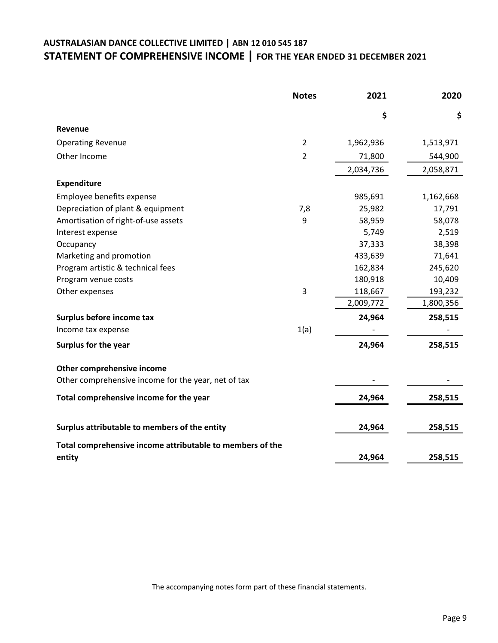# **AUSTRALASIAN DANCE COLLECTIVE LIMITED | ABN 12 010 545 187 STATEMENT OF COMPREHENSIVE INCOME | FOR THE YEAR ENDED 31 DECEMBER 2021**

|                                                           | <b>Notes</b>   | 2021      | 2020      |
|-----------------------------------------------------------|----------------|-----------|-----------|
|                                                           |                | \$        | \$        |
| Revenue                                                   |                |           |           |
| <b>Operating Revenue</b>                                  | $\overline{2}$ | 1,962,936 | 1,513,971 |
| Other Income                                              | $\overline{2}$ | 71,800    | 544,900   |
|                                                           |                | 2,034,736 | 2,058,871 |
| <b>Expenditure</b>                                        |                |           |           |
| Employee benefits expense                                 |                | 985,691   | 1,162,668 |
| Depreciation of plant & equipment                         | 7,8            | 25,982    | 17,791    |
| Amortisation of right-of-use assets                       | 9              | 58,959    | 58,078    |
| Interest expense                                          |                | 5,749     | 2,519     |
| Occupancy                                                 |                | 37,333    | 38,398    |
| Marketing and promotion                                   |                | 433,639   | 71,641    |
| Program artistic & technical fees                         |                | 162,834   | 245,620   |
| Program venue costs                                       |                | 180,918   | 10,409    |
| Other expenses                                            | 3              | 118,667   | 193,232   |
|                                                           |                | 2,009,772 | 1,800,356 |
| Surplus before income tax                                 |                | 24,964    | 258,515   |
| Income tax expense                                        | 1(a)           |           |           |
| Surplus for the year                                      |                | 24,964    | 258,515   |
| Other comprehensive income                                |                |           |           |
| Other comprehensive income for the year, net of tax       |                |           |           |
| Total comprehensive income for the year                   |                | 24,964    | 258,515   |
| Surplus attributable to members of the entity             |                | 24,964    | 258,515   |
| Total comprehensive income attributable to members of the |                |           |           |
| entity                                                    |                | 24,964    | 258,515   |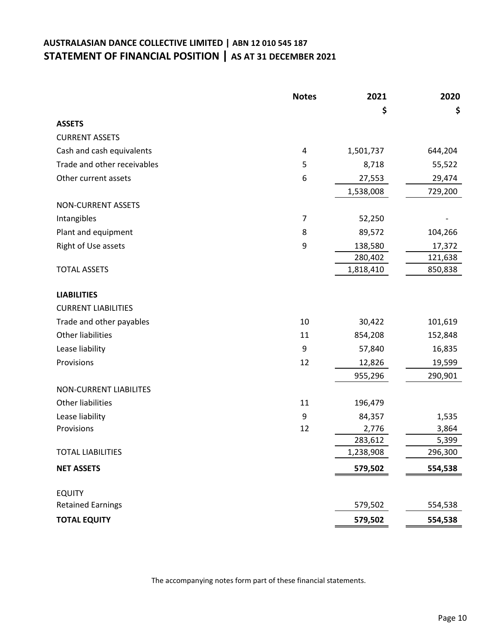# **AUSTRALASIAN DANCE COLLECTIVE LIMITED | ABN 12 010 545 187 STATEMENT OF FINANCIAL POSITION | AS AT 31 DECEMBER 2021**

|                               | <b>Notes</b> | 2021      | 2020    |
|-------------------------------|--------------|-----------|---------|
|                               |              | \$        | \$      |
| <b>ASSETS</b>                 |              |           |         |
| <b>CURRENT ASSETS</b>         |              |           |         |
| Cash and cash equivalents     | 4            | 1,501,737 | 644,204 |
| Trade and other receivables   | 5            | 8,718     | 55,522  |
| Other current assets          | 6            | 27,553    | 29,474  |
|                               |              | 1,538,008 | 729,200 |
| NON-CURRENT ASSETS            |              |           |         |
| Intangibles                   | 7            | 52,250    |         |
| Plant and equipment           | 8            | 89,572    | 104,266 |
| Right of Use assets           | 9            | 138,580   | 17,372  |
|                               |              | 280,402   | 121,638 |
| <b>TOTAL ASSETS</b>           |              | 1,818,410 | 850,838 |
|                               |              |           |         |
| <b>LIABILITIES</b>            |              |           |         |
| <b>CURRENT LIABILITIES</b>    |              |           |         |
| Trade and other payables      | 10           | 30,422    | 101,619 |
| <b>Other liabilities</b>      | 11           | 854,208   | 152,848 |
| Lease liability               | 9            | 57,840    | 16,835  |
| Provisions                    | 12           | 12,826    | 19,599  |
|                               |              | 955,296   | 290,901 |
| <b>NON-CURRENT LIABILITES</b> |              |           |         |
| <b>Other liabilities</b>      | 11           | 196,479   |         |
| Lease liability               | 9            | 84,357    | 1,535   |
| Provisions                    | 12           | 2,776     | 3,864   |
|                               |              | 283,612   | 5,399   |
| <b>TOTAL LIABILITIES</b>      |              | 1,238,908 | 296,300 |
| <b>NET ASSETS</b>             |              | 579,502   | 554,538 |
|                               |              |           |         |
| <b>EQUITY</b>                 |              |           |         |
| <b>Retained Earnings</b>      |              | 579,502   | 554,538 |
| <b>TOTAL EQUITY</b>           |              | 579,502   | 554,538 |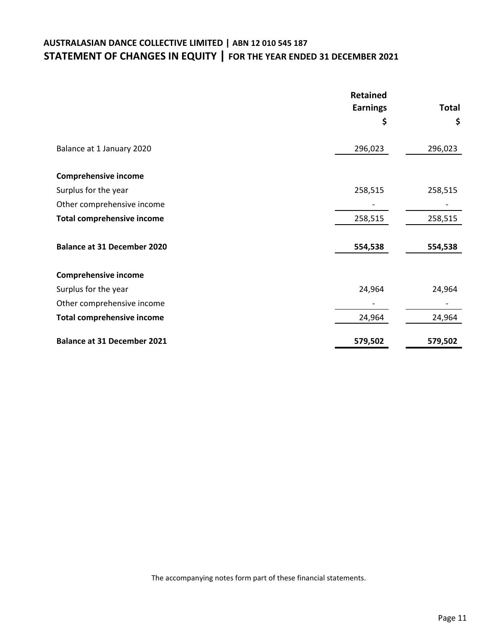# **AUSTRALASIAN DANCE COLLECTIVE LIMITED | ABN 12 010 545 187 STATEMENT OF CHANGES IN EQUITY | FOR THE YEAR ENDED 31 DECEMBER 2021**

|                                    | <b>Retained</b> |              |
|------------------------------------|-----------------|--------------|
|                                    | <b>Earnings</b> | <b>Total</b> |
|                                    | \$              | \$           |
| Balance at 1 January 2020          | 296,023         | 296,023      |
| <b>Comprehensive income</b>        |                 |              |
| Surplus for the year               | 258,515         | 258,515      |
| Other comprehensive income         |                 |              |
| <b>Total comprehensive income</b>  | 258,515         | 258,515      |
| <b>Balance at 31 December 2020</b> | 554,538         | 554,538      |
| <b>Comprehensive income</b>        |                 |              |
| Surplus for the year               | 24,964          | 24,964       |
| Other comprehensive income         |                 |              |
| <b>Total comprehensive income</b>  | 24,964          | 24,964       |
| <b>Balance at 31 December 2021</b> | 579,502         | 579,502      |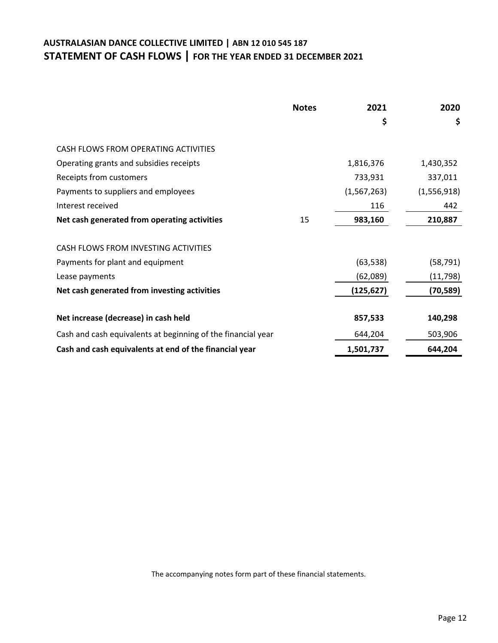# **AUSTRALASIAN DANCE COLLECTIVE LIMITED | ABN 12 010 545 187 STATEMENT OF CASH FLOWS | FOR THE YEAR ENDED 31 DECEMBER 2021**

|                                                              | <b>Notes</b> | 2021          | 2020        |
|--------------------------------------------------------------|--------------|---------------|-------------|
|                                                              |              | \$            | \$          |
| CASH FLOWS FROM OPERATING ACTIVITIES                         |              |               |             |
| Operating grants and subsidies receipts                      |              | 1,816,376     | 1,430,352   |
| Receipts from customers                                      |              | 733,931       | 337,011     |
| Payments to suppliers and employees                          |              | (1, 567, 263) | (1,556,918) |
| Interest received                                            |              | 116           | 442         |
| Net cash generated from operating activities                 | 15           | 983,160       | 210,887     |
|                                                              |              |               |             |
| CASH FLOWS FROM INVESTING ACTIVITIES                         |              |               |             |
| Payments for plant and equipment                             |              | (63, 538)     | (58, 791)   |
| Lease payments                                               |              | (62,089)      | (11, 798)   |
| Net cash generated from investing activities                 |              | (125, 627)    | (70, 589)   |
|                                                              |              |               |             |
| Net increase (decrease) in cash held                         |              | 857,533       | 140,298     |
| Cash and cash equivalents at beginning of the financial year |              | 644,204       | 503,906     |
| Cash and cash equivalents at end of the financial year       |              | 1,501,737     | 644,204     |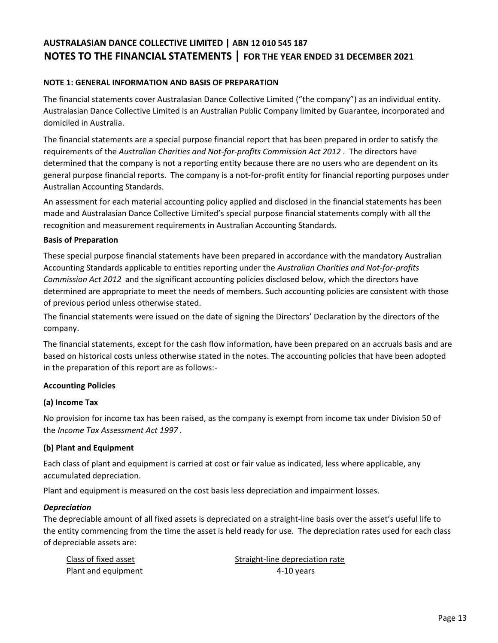#### **NOTE 1: GENERAL INFORMATION AND BASIS OF PREPARATION**

The financial statements cover Australasian Dance Collective Limited ("the company") as an individual entity. Australasian Dance Collective Limited is an Australian Public Company limited by Guarantee, incorporated and domiciled in Australia.

The financial statements are a special purpose financial report that has been prepared in order to satisfy the requirements of the *Australian Charities and Not-for-profits Commission Act 2012* . The directors have determined that the company is not a reporting entity because there are no users who are dependent on its general purpose financial reports. The company is a not-for-profit entity for financial reporting purposes under Australian Accounting Standards.

An assessment for each material accounting policy applied and disclosed in the financial statements has been made and Australasian Dance Collective Limited's special purpose financial statements comply with all the recognition and measurement requirements in Australian Accounting Standards.

#### **Basis of Preparation**

These special purpose financial statements have been prepared in accordance with the mandatory Australian Accounting Standards applicable to entities reporting under the *Australian Charities and Not-for-profits Commission Act 2012* and the significant accounting policies disclosed below, which the directors have determined are appropriate to meet the needs of members. Such accounting policies are consistent with those of previous period unless otherwise stated.

The financial statements were issued on the date of signing the Directors' Declaration by the directors of the company.

The financial statements, except for the cash flow information, have been prepared on an accruals basis and are based on historical costs unless otherwise stated in the notes. The accounting policies that have been adopted in the preparation of this report are as follows:-

#### **Accounting Policies**

#### **(a) Income Tax**

No provision for income tax has been raised, as the company is exempt from income tax under Division 50 of the *Income Tax Assessment Act 1997* .

#### **(b) Plant and Equipment**

Each class of plant and equipment is carried at cost or fair value as indicated, less where applicable, any accumulated depreciation.

Plant and equipment is measured on the cost basis less depreciation and impairment losses.

#### *Depreciation*

The depreciable amount of all fixed assets is depreciated on a straight-line basis over the asset's useful life to the entity commencing from the time the asset is held ready for use. The depreciation rates used for each class of depreciable assets are:

| Class of fixed asset | Straight-line depreciation rate |
|----------------------|---------------------------------|
| Plant and equipment  | 4-10 years                      |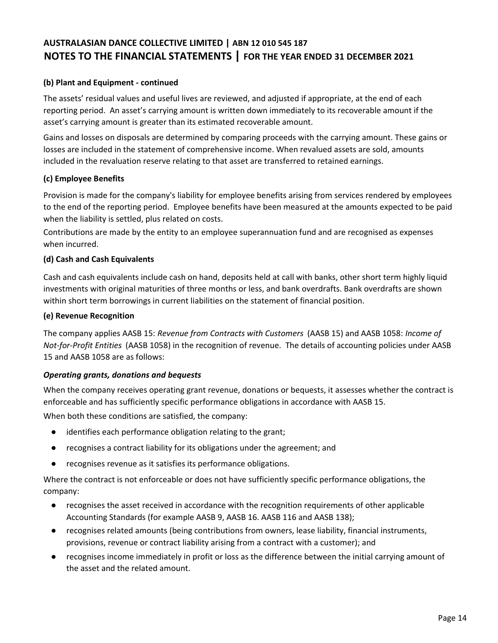## **(b) Plant and Equipment - continued**

The assets' residual values and useful lives are reviewed, and adjusted if appropriate, at the end of each reporting period. An asset's carrying amount is written down immediately to its recoverable amount if the asset's carrying amount is greater than its estimated recoverable amount.

Gains and losses on disposals are determined by comparing proceeds with the carrying amount. These gains or losses are included in the statement of comprehensive income. When revalued assets are sold, amounts included in the revaluation reserve relating to that asset are transferred to retained earnings.

## **(c) Employee Benefits**

Provision is made for the company's liability for employee benefits arising from services rendered by employees to the end of the reporting period. Employee benefits have been measured at the amounts expected to be paid when the liability is settled, plus related on costs.

Contributions are made by the entity to an employee superannuation fund and are recognised as expenses when incurred.

#### **(d) Cash and Cash Equivalents**

Cash and cash equivalents include cash on hand, deposits held at call with banks, other short term highly liquid investments with original maturities of three months or less, and bank overdrafts. Bank overdrafts are shown within short term borrowings in current liabilities on the statement of financial position.

#### **(e) Revenue Recognition**

The company applies AASB 15: *Revenue from Contracts with Customers* (AASB 15) and AASB 1058: *Income of Not-for-Profit Entities* (AASB 1058) in the recognition of revenue. The details of accounting policies under AASB 15 and AASB 1058 are as follows:

#### *Operating grants, donations and bequests*

When the company receives operating grant revenue, donations or bequests, it assesses whether the contract is enforceable and has sufficiently specific performance obligations in accordance with AASB 15.

When both these conditions are satisfied, the company:

- identifies each performance obligation relating to the grant;
- recognises a contract liability for its obligations under the agreement; and
- recognises revenue as it satisfies its performance obligations.

Where the contract is not enforceable or does not have sufficiently specific performance obligations, the company:

- recognises the asset received in accordance with the recognition requirements of other applicable Accounting Standards (for example AASB 9, AASB 16. AASB 116 and AASB 138);
- recognises related amounts (being contributions from owners, lease liability, financial instruments, provisions, revenue or contract liability arising from a contract with a customer); and
- $\bullet$ recognises income immediately in profit or loss as the difference between the initial carrying amount of the asset and the related amount.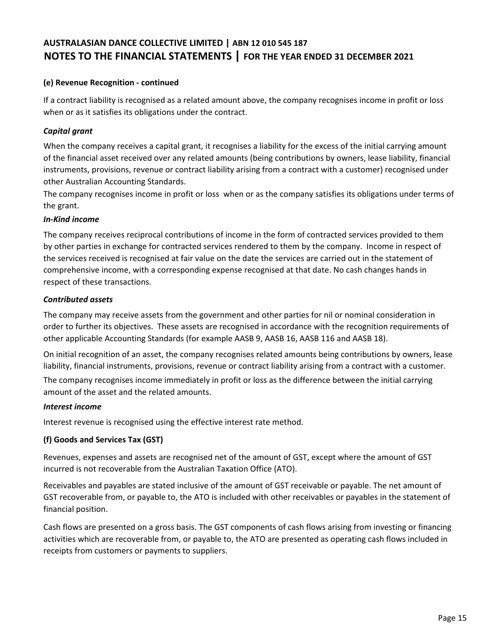## **(e) Revenue Recognition - continued**

If a contract liability is recognised as a related amount above, the company recognises income in profit or loss when or as it satisfies its obligations under the contract.

#### *Capital grant*

When the company receives a capital grant, it recognises a liability for the excess of the initial carrying amount of the financial asset received over any related amounts (being contributions by owners, lease liability, financial instruments, provisions, revenue or contract liability arising from a contract with a customer) recognised under other Australian Accounting Standards.

The company recognises income in profit or loss when or as the company satisfies its obligations under terms of the grant.

#### *In-Kind income*

The company receives reciprocal contributions of income in the form of contracted services provided to them by other parties in exchange for contracted services rendered to them by the company. Income in respect of the services received is recognised at fair value on the date the services are carried out in the statement of comprehensive income, with a corresponding expense recognised at that date. No cash changes hands in respect of these transactions.

#### *Contributed assets*

The company may receive assets from the government and other parties for nil or nominal consideration in order to further its objectives. These assets are recognised in accordance with the recognition requirements of other applicable Accounting Standards (for example AASB 9, AASB 16, AASB 116 and AASB 18).

On initial recognition of an asset, the company recognises related amounts being contributions by owners, lease liability, financial instruments, provisions, revenue or contract liability arising from a contract with a customer.

The company recognises income immediately in profit or loss as the difference between the initial carrying amount of the asset and the related amounts.

#### *Interest income*

Interest revenue is recognised using the effective interest rate method.

#### **(f) Goods and Services Tax (GST)**

Revenues, expenses and assets are recognised net of the amount of GST, except where the amount of GST incurred is not recoverable from the Australian Taxation Office (ATO).

Receivables and payables are stated inclusive of the amount of GST receivable or payable. The net amount of GST recoverable from, or payable to, the ATO is included with other receivables or payables in the statement of financial position.

Cash flows are presented on a gross basis. The GST components of cash flows arising from investing or financing activities which are recoverable from, or payable to, the ATO are presented as operating cash flows included in receipts from customers or payments to suppliers.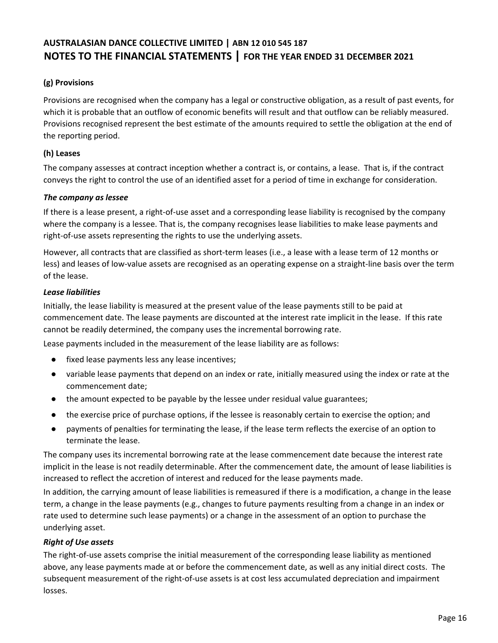## **(g) Provisions**

Provisions are recognised when the company has a legal or constructive obligation, as a result of past events, for which it is probable that an outflow of economic benefits will result and that outflow can be reliably measured. Provisions recognised represent the best estimate of the amounts required to settle the obligation at the end of the reporting period.

## **(h) Leases**

The company assesses at contract inception whether a contract is, or contains, a lease. That is, if the contract conveys the right to control the use of an identified asset for a period of time in exchange for consideration.

## *The company as lessee*

If there is a lease present, a right-of-use asset and a corresponding lease liability is recognised by the company where the company is a lessee. That is, the company recognises lease liabilities to make lease payments and right-of-use assets representing the rights to use the underlying assets.

However, all contracts that are classified as short-term leases (i.e., a lease with a lease term of 12 months or less) and leases of low-value assets are recognised as an operating expense on a straight-line basis over the term of the lease.

#### *Lease liabilities*

Initially, the lease liability is measured at the present value of the lease payments still to be paid at commencement date. The lease payments are discounted at the interest rate implicit in the lease. If this rate cannot be readily determined, the company uses the incremental borrowing rate.

Lease payments included in the measurement of the lease liability are as follows:

- $\bullet$ fixed lease payments less any lease incentives;
- $\bullet$ variable lease payments that depend on an index or rate, initially measured using the index or rate at the commencement date;
- $\bullet$ the amount expected to be payable by the lessee under residual value guarantees;
- $\bullet$ the exercise price of purchase options, if the lessee is reasonably certain to exercise the option; and
- payments of penalties for terminating the lease, if the lease term reflects the exercise of an option to terminate the lease.

The company uses its incremental borrowing rate at the lease commencement date because the interest rate implicit in the lease is not readily determinable. After the commencement date, the amount of lease liabilities is increased to reflect the accretion of interest and reduced for the lease payments made.

In addition, the carrying amount of lease liabilities is remeasured if there is a modification, a change in the lease term, a change in the lease payments (e.g., changes to future payments resulting from a change in an index or rate used to determine such lease payments) or a change in the assessment of an option to purchase the underlying asset.

## *Right of Use assets*

The right-of-use assets comprise the initial measurement of the corresponding lease liability as mentioned above, any lease payments made at or before the commencement date, as well as any initial direct costs. The subsequent measurement of the right-of-use assets is at cost less accumulated depreciation and impairment losses.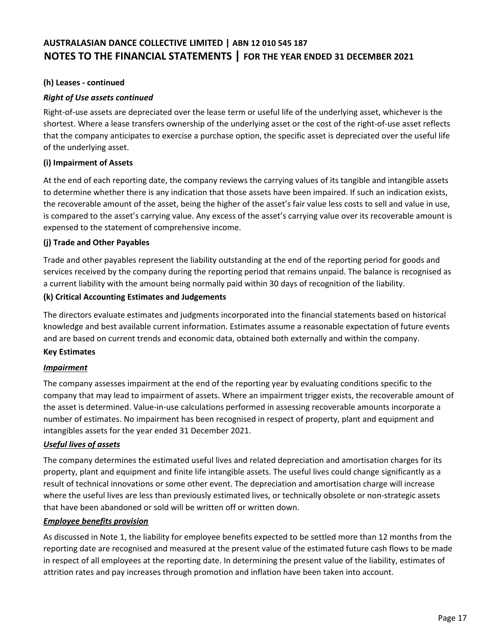#### **(h) Leases - continued**

## *Right of Use assets continued*

Right-of-use assets are depreciated over the lease term or useful life of the underlying asset, whichever is the shortest. Where a lease transfers ownership of the underlying asset or the cost of the right-of-use asset reflects that the company anticipates to exercise a purchase option, the specific asset is depreciated over the useful life of the underlying asset.

#### **(i) Impairment of Assets**

At the end of each reporting date, the company reviews the carrying values of its tangible and intangible assets to determine whether there is any indication that those assets have been impaired. If such an indication exists, the recoverable amount of the asset, being the higher of the asset's fair value less costs to sell and value in use, is compared to the asset's carrying value. Any excess of the asset's carrying value over its recoverable amount is expensed to the statement of comprehensive income.

#### **(j) Trade and Other Payables**

Trade and other payables represent the liability outstanding at the end of the reporting period for goods and services received by the company during the reporting period that remains unpaid. The balance is recognised as a current liability with the amount being normally paid within 30 days of recognition of the liability.

#### **(k) Critical Accounting Estimates and Judgements**

The directors evaluate estimates and judgments incorporated into the financial statements based on historical knowledge and best available current information. Estimates assume a reasonable expectation of future events and are based on current trends and economic data, obtained both externally and within the company.

#### **Key Estimates**

## *Impairment*

The company assesses impairment at the end of the reporting year by evaluating conditions specific to the company that may lead to impairment of assets. Where an impairment trigger exists, the recoverable amount of the asset is determined. Value-in-use calculations performed in assessing recoverable amounts incorporate a number of estimates. No impairment has been recognised in respect of property, plant and equipment and intangibles assets for the year ended 31 December 2021.

## *Useful lives of assets*

The company determines the estimated useful lives and related depreciation and amortisation charges for its property, plant and equipment and finite life intangible assets. The useful lives could change significantly as a result of technical innovations or some other event. The depreciation and amortisation charge will increase where the useful lives are less than previously estimated lives, or technically obsolete or non-strategic assets that have been abandoned or sold will be written off or written down.

#### *Employee benefits provision*

As discussed in Note 1, the liability for employee benefits expected to be settled more than 12 months from the reporting date are recognised and measured at the present value of the estimated future cash flows to be made in respect of all employees at the reporting date. In determining the present value of the liability, estimates of attrition rates and pay increases through promotion and inflation have been taken into account.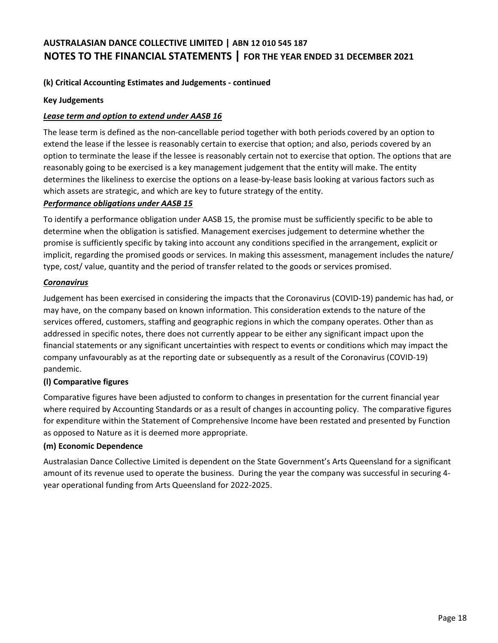## **(k) Critical Accounting Estimates and Judgements - continued**

#### **Key Judgements**

#### *Lease term and option to extend under AASB 16*

The lease term is defined as the non-cancellable period together with both periods covered by an option to extend the lease if the lessee is reasonably certain to exercise that option; and also, periods covered by an option to terminate the lease if the lessee is reasonably certain not to exercise that option. The options that are reasonably going to be exercised is a key management judgement that the entity will make. The entity determines the likeliness to exercise the options on a lease-by-lease basis looking at various factors such as which assets are strategic, and which are key to future strategy of the entity.

#### *Performance obligations under AASB 15*

To identify a performance obligation under AASB 15, the promise must be sufficiently specific to be able to determine when the obligation is satisfied. Management exercises judgement to determine whether the promise is sufficiently specific by taking into account any conditions specified in the arrangement, explicit or implicit, regarding the promised goods or services. In making this assessment, management includes the nature/ type, cost/ value, quantity and the period of transfer related to the goods or services promised.

#### *Coronavirus*

Judgement has been exercised in considering the impacts that the Coronavirus (COVID-19) pandemic has had, or may have, on the company based on known information. This consideration extends to the nature of the services offered, customers, staffing and geographic regions in which the company operates. Other than as addressed in specific notes, there does not currently appear to be either any significant impact upon the financial statements or any significant uncertainties with respect to events or conditions which may impact the company unfavourably as at the reporting date or subsequently as a result of the Coronavirus (COVID-19) pandemic.

## **(l) Comparative figures**

Comparative figures have been adjusted to conform to changes in presentation for the current financial year where required by Accounting Standards or as a result of changes in accounting policy. The comparative figures for expenditure within the Statement of Comprehensive Income have been restated and presented by Function as opposed to Nature as it is deemed more appropriate.

#### **(m) Economic Dependence**

Australasian Dance Collective Limited is dependent on the State Government's Arts Queensland for a significant amount of its revenue used to operate the business. During the year the company was successful in securing 4 year operational funding from Arts Queensland for 2022-2025.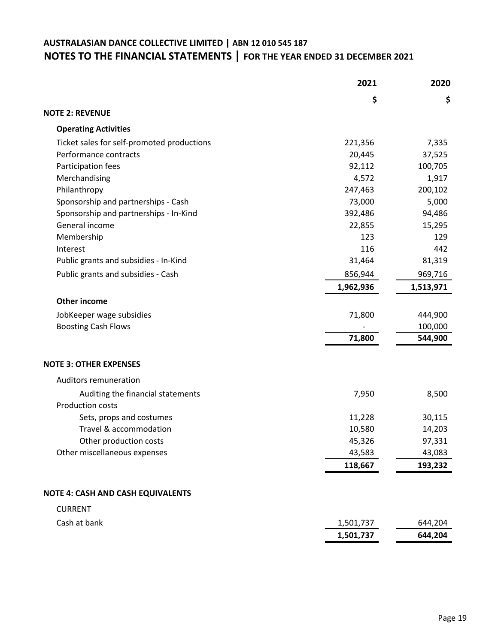|                                            | 2021      | 2020      |
|--------------------------------------------|-----------|-----------|
|                                            | \$        | \$        |
| <b>NOTE 2: REVENUE</b>                     |           |           |
| <b>Operating Activities</b>                |           |           |
| Ticket sales for self-promoted productions | 221,356   | 7,335     |
| Performance contracts                      | 20,445    | 37,525    |
| Participation fees                         | 92,112    | 100,705   |
| Merchandising                              | 4,572     | 1,917     |
| Philanthropy                               | 247,463   | 200,102   |
| Sponsorship and partnerships - Cash        | 73,000    | 5,000     |
| Sponsorship and partnerships - In-Kind     | 392,486   | 94,486    |
| General income                             | 22,855    | 15,295    |
| Membership                                 | 123       | 129       |
| Interest                                   | 116       | 442       |
| Public grants and subsidies - In-Kind      | 31,464    | 81,319    |
| Public grants and subsidies - Cash         | 856,944   | 969,716   |
|                                            | 1,962,936 | 1,513,971 |
| <b>Other income</b>                        |           |           |
| JobKeeper wage subsidies                   | 71,800    | 444,900   |
| <b>Boosting Cash Flows</b>                 |           | 100,000   |
|                                            | 71,800    | 544,900   |
| <b>NOTE 3: OTHER EXPENSES</b>              |           |           |
| Auditors remuneration                      |           |           |
| Auditing the financial statements          | 7,950     | 8,500     |
| <b>Production costs</b>                    |           |           |
| Sets, props and costumes                   | 11,228    | 30,115    |
| Travel & accommodation                     | 10,580    | 14,203    |
| Other production costs                     | 45,326    | 97,331    |
| Other miscellaneous expenses               | 43,583    | 43,083    |
|                                            | 118,667   | 193,232   |
| <b>NOTE 4: CASH AND CASH EQUIVALENTS</b>   |           |           |
| <b>CURRENT</b>                             |           |           |
| Cash at bank                               | 1,501,737 | 644,204   |
|                                            | 1,501,737 | 644,204   |
|                                            |           |           |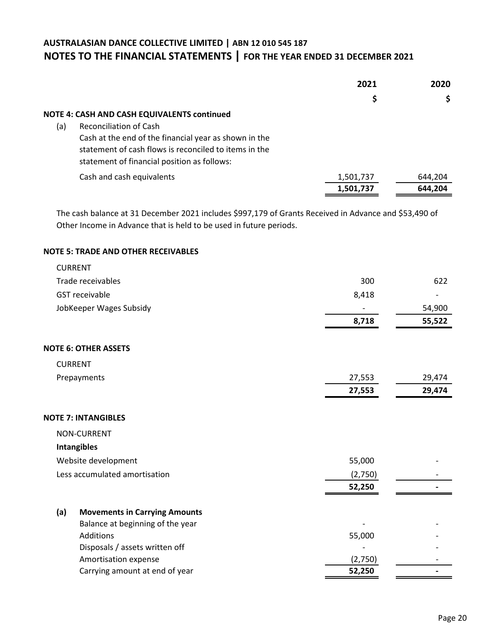|     |                                                       | 2021      | 2020    |
|-----|-------------------------------------------------------|-----------|---------|
|     |                                                       | \$        | \$      |
|     | <b>NOTE 4: CASH AND CASH EQUIVALENTS continued</b>    |           |         |
| (a) | <b>Reconciliation of Cash</b>                         |           |         |
|     | Cash at the end of the financial year as shown in the |           |         |
|     | statement of cash flows is reconciled to items in the |           |         |
|     | statement of financial position as follows:           |           |         |
|     | Cash and cash equivalents                             | 1,501,737 | 644,204 |
|     |                                                       | 1,501,737 | 644.204 |

The cash balance at 31 December 2021 includes \$997,179 of Grants Received in Advance and \$53,490 of Other Income in Advance that is held to be used in future periods.

#### **NOTE 5: TRADE AND OTHER RECEIVABLES**

|     | <b>CURRENT</b>                       |         |        |
|-----|--------------------------------------|---------|--------|
|     | Trade receivables                    | 300     | 622    |
|     | <b>GST</b> receivable                | 8,418   |        |
|     | JobKeeper Wages Subsidy              |         | 54,900 |
|     |                                      | 8,718   | 55,522 |
|     | <b>NOTE 6: OTHER ASSETS</b>          |         |        |
|     | <b>CURRENT</b>                       |         |        |
|     | Prepayments                          | 27,553  | 29,474 |
|     |                                      | 27,553  | 29,474 |
|     | <b>NOTE 7: INTANGIBLES</b>           |         |        |
|     | <b>NON-CURRENT</b>                   |         |        |
|     | <b>Intangibles</b>                   |         |        |
|     | Website development                  | 55,000  |        |
|     | Less accumulated amortisation        | (2,750) |        |
|     |                                      | 52,250  |        |
| (a) | <b>Movements in Carrying Amounts</b> |         |        |
|     | Balance at beginning of the year     |         |        |
|     | Additions                            | 55,000  |        |
|     | Disposals / assets written off       |         |        |
|     | Amortisation expense                 | (2,750) |        |
|     | Carrying amount at end of year       | 52,250  |        |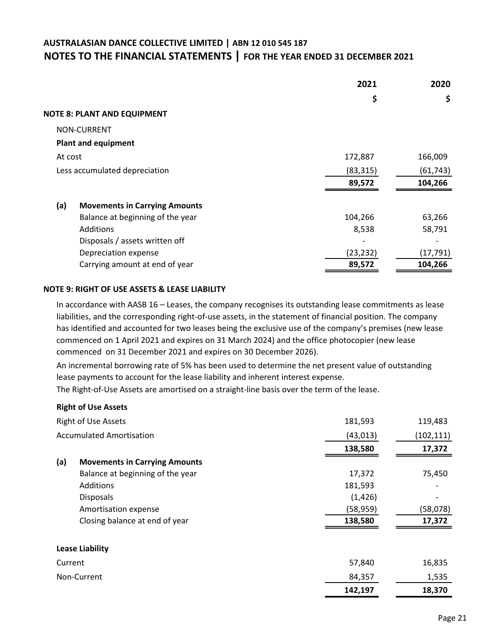|         |                                      | 2021      | 2020      |
|---------|--------------------------------------|-----------|-----------|
|         |                                      | \$        | \$        |
|         | <b>NOTE 8: PLANT AND EQUIPMENT</b>   |           |           |
|         | NON-CURRENT                          |           |           |
|         | <b>Plant and equipment</b>           |           |           |
| At cost |                                      | 172,887   | 166,009   |
|         | Less accumulated depreciation        | (83, 315) | (61, 743) |
|         |                                      | 89,572    | 104,266   |
| (a)     | <b>Movements in Carrying Amounts</b> |           |           |
|         | Balance at beginning of the year     | 104,266   | 63,266    |
|         | Additions                            | 8,538     | 58,791    |
|         | Disposals / assets written off       |           |           |
|         | Depreciation expense                 | (23, 232) | (17, 791) |
|         | Carrying amount at end of year       | 89,572    | 104,266   |

#### **NOTE 9: RIGHT OF USE ASSETS & LEASE LIABILITY**

In accordance with AASB 16 – Leases, the company recognises its outstanding lease commitments as lease liabilities, and the corresponding right-of-use assets, in the statement of financial position. The company has identified and accounted for two leases being the exclusive use of the company's premises (new lease commenced on 1 April 2021 and expires on 31 March 2024) and the office photocopier (new lease commenced on 31 December 2021 and expires on 30 December 2026).

An incremental borrowing rate of 5% has been used to determine the net present value of outstanding lease payments to account for the lease liability and inherent interest expense.

The Right-of-Use Assets are amortised on a straight-line basis over the term of the lease.

#### **Right of Use Assets**

|         | <b>Right of Use Assets</b>           | 181,593   | 119,483    |
|---------|--------------------------------------|-----------|------------|
|         | <b>Accumulated Amortisation</b>      | (43, 013) | (102, 111) |
|         |                                      | 138,580   | 17,372     |
| (a)     | <b>Movements in Carrying Amounts</b> |           |            |
|         | Balance at beginning of the year     | 17,372    | 75,450     |
|         | Additions                            | 181,593   |            |
|         | <b>Disposals</b>                     | (1, 426)  |            |
|         | Amortisation expense                 | (58, 959) | (58,078)   |
|         | Closing balance at end of year       | 138,580   | 17,372     |
|         | <b>Lease Liability</b>               |           |            |
| Current |                                      | 57,840    | 16,835     |
|         | Non-Current                          | 84,357    | 1,535      |
|         |                                      | 142,197   | 18,370     |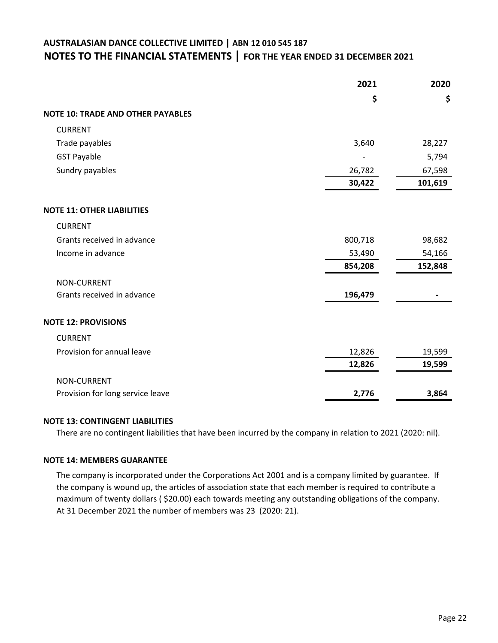|                                          | 2021    | 2020    |
|------------------------------------------|---------|---------|
|                                          | \$      | \$      |
| <b>NOTE 10: TRADE AND OTHER PAYABLES</b> |         |         |
| <b>CURRENT</b>                           |         |         |
| Trade payables                           | 3,640   | 28,227  |
| <b>GST Payable</b>                       |         | 5,794   |
| Sundry payables                          | 26,782  | 67,598  |
|                                          | 30,422  | 101,619 |
| <b>NOTE 11: OTHER LIABILITIES</b>        |         |         |
| <b>CURRENT</b>                           |         |         |
| Grants received in advance               | 800,718 | 98,682  |
| Income in advance                        | 53,490  | 54,166  |
|                                          | 854,208 | 152,848 |
| <b>NON-CURRENT</b>                       |         |         |
| Grants received in advance               | 196,479 |         |
| <b>NOTE 12: PROVISIONS</b>               |         |         |
| <b>CURRENT</b>                           |         |         |
| Provision for annual leave               | 12,826  | 19,599  |
|                                          | 12,826  | 19,599  |
| <b>NON-CURRENT</b>                       |         |         |
| Provision for long service leave         | 2,776   | 3,864   |

#### **NOTE 13: CONTINGENT LIABILITIES**

There are no contingent liabilities that have been incurred by the company in relation to 2021 (2020: nil).

#### **NOTE 14: MEMBERS GUARANTEE**

The company is incorporated under the Corporations Act 2001 and is a company limited by guarantee. If the company is wound up, the articles of association state that each member is required to contribute a maximum of twenty dollars ( \$20.00) each towards meeting any outstanding obligations of the company. At 31 December 2021 the number of members was 23 (2020: 21).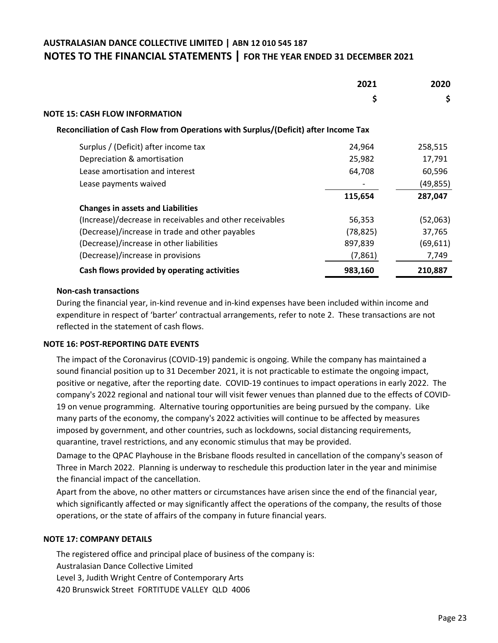|                                                                                     | 2021      | 2020      |
|-------------------------------------------------------------------------------------|-----------|-----------|
|                                                                                     | \$        | \$        |
| <b>NOTE 15: CASH FLOW INFORMATION</b>                                               |           |           |
| Reconciliation of Cash Flow from Operations with Surplus/(Deficit) after Income Tax |           |           |
| Surplus / (Deficit) after income tax                                                | 24,964    | 258,515   |
| Depreciation & amortisation                                                         | 25,982    | 17,791    |
| Lease amortisation and interest                                                     | 64,708    | 60,596    |
| Lease payments waived                                                               |           | (49, 855) |
|                                                                                     | 115,654   | 287,047   |
| <b>Changes in assets and Liabilities</b>                                            |           |           |
| (Increase)/decrease in receivables and other receivables                            | 56,353    | (52,063)  |
| (Decrease)/increase in trade and other payables                                     | (78, 825) | 37,765    |
| (Decrease)/increase in other liabilities                                            | 897,839   | (69, 611) |
| (Decrease)/increase in provisions                                                   | (7,861)   | 7,749     |
| Cash flows provided by operating activities                                         | 983,160   | 210,887   |

#### **Non-cash transactions**

During the financial year, in-kind revenue and in-kind expenses have been included within income and expenditure in respect of 'barter' contractual arrangements, refer to note 2. These transactions are not reflected in the statement of cash flows.

#### **NOTE 16: POST-REPORTING DATE EVENTS**

The impact of the Coronavirus (COVID-19) pandemic is ongoing. While the company has maintained a sound financial position up to 31 December 2021, it is not practicable to estimate the ongoing impact, positive or negative, after the reporting date. COVID-19 continues to impact operations in early 2022. The company's 2022 regional and national tour will visit fewer venues than planned due to the effects of COVID-19 on venue programming. Alternative touring opportunities are being pursued by the company. Like many parts of the economy, the company's 2022 activities will continue to be affected by measures imposed by government, and other countries, such as lockdowns, social distancing requirements, quarantine, travel restrictions, and any economic stimulus that may be provided.

Damage to the QPAC Playhouse in the Brisbane floods resulted in cancellation of the company's season of Three in March 2022. Planning is underway to reschedule this production later in the year and minimise the financial impact of the cancellation.

Apart from the above, no other matters or circumstances have arisen since the end of the financial year, which significantly affected or may significantly affect the operations of the company, the results of those operations, or the state of affairs of the company in future financial years.

#### **NOTE 17: COMPANY DETAILS**

The registered office and principal place of business of the company is: Australasian Dance Collective Limited Level 3, Judith Wright Centre of Contemporary Arts 420 Brunswick Street FORTITUDE VALLEY QLD 4006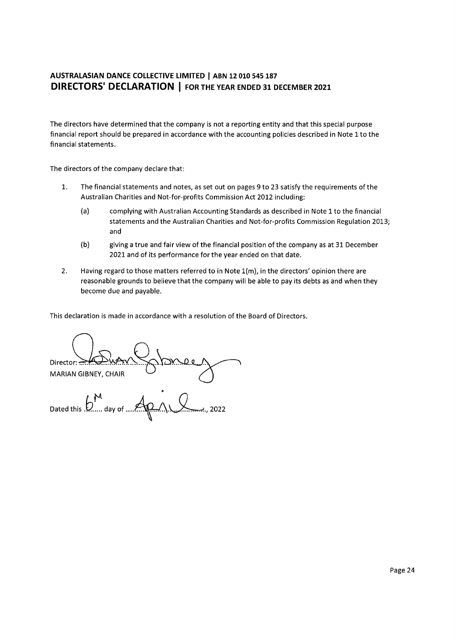The directors have determined that the company is not a reporting entity and that this special purpose financial report should be prepared in accordance with the accounting policies described in Note 1 to the financial statements.

The directors of the company declare that:

- $\mathbf{1}$ . The financial statements and notes, as set out on pages 9 to 23 satisfy the requirements of the Australian Charities and Not-for-profits Commission Act 2012 including:
	- $(a)$ complying with Australian Accounting Standards as described in Note 1 to the financial statements and the Australian Charities and Not-for-profits Commission Regulation 2013; and
	- $(b)$ giving a true and fair view of the financial position of the company as at 31 December 2021 and of its performance for the year ended on that date.
- Having regard to those matters referred to in Note 1(m), in the directors' opinion there are  $2.$ reasonable grounds to believe that the company will be able to pay its debts as and when they become due and payable.

This declaration is made in accordance with a resolution of the Board of Directors.

Director: **MARIAN GIBNEY, CHAIR** Dated this  $\mathfrak{b}^{\mathfrak{f}}$ day of. 2022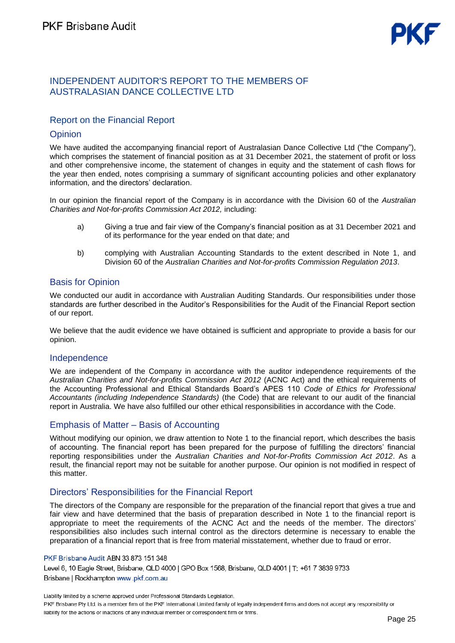# INDEPENDENT AUDITOR'S REPORT TO THE MEMBERS OF AUSTRALASIAN DANCE COLLECTIVE LTD

# Report on the Financial Report

## **Opinion**

We have audited the accompanying financial report of Australasian Dance Collective Ltd ("the Company"), which comprises the statement of financial position as at 31 December 2021, the statement of profit or loss and other comprehensive income, the statement of changes in equity and the statement of cash flows for the year then ended, notes comprising a summary of significant accounting policies and other explanatory information, and the directors' declaration.

In our opinion the financial report of the Company is in accordance with the Division 60 of the *Australian Charities and Not-for-profits Commission Act 2012,* including:

- a) Giving a true and fair view of the Company's financial position as at 31 December 2021 and of its performance for the year ended on that date; and
- b) complying with Australian Accounting Standards to the extent described in Note 1, and Division 60 of the *Australian Charities and Not-for-profits Commission Regulation 2013*.

## Basis for Opinion

We conducted our audit in accordance with Australian Auditing Standards. Our responsibilities under those standards are further described in the Auditor's Responsibilities for the Audit of the Financial Report section of our report.

We believe that the audit evidence we have obtained is sufficient and appropriate to provide a basis for our opinion.

## Independence

We are independent of the Company in accordance with the auditor independence requirements of the *Australian Charities and Not-for-profits Commission Act 2012* (ACNC Act) and the ethical requirements of the Accounting Professional and Ethical Standards Board's APES 110 *Code of Ethics for Professional Accountants (including Independence Standards)* (the Code) that are relevant to our audit of the financial report in Australia. We have also fulfilled our other ethical responsibilities in accordance with the Code.

# Emphasis of Matter – Basis of Accounting

Without modifying our opinion, we draw attention to Note 1 to the financial report, which describes the basis of accounting. The financial report has been prepared for the purpose of fulfilling the directors' financial reporting responsibilities under the *Australian Charities and Not-for-Profits Commission Act 2012*. As a result, the financial report may not be suitable for another purpose. Our opinion is not modified in respect of this matter.

# Directors' Responsibilities for the Financial Report

The directors of the Company are responsible for the preparation of the financial report that gives a true and fair view and have determined that the basis of preparation described in Note 1 to the financial report is appropriate to meet the requirements of the ACNC Act and the needs of the member. The directors' responsibilities also includes such internal control as the directors determine is necessary to enable the preparation of a financial report that is free from material misstatement, whether due to fraud or error.

#### PKF Brisbane Audit ABN 33 873 151 348

Level 6, 10 Eagle Street, Brisbane, QLD 4000 | GPO Box 1568, Brisbane, QLD 4001 | T: +61 7 3839 9733 Brisbane | Rockhampton www.pkf.com.au

Liability limited by a scheme approved under Professional Standards Legislation. PKF Brisbane Pty Ltd. is a member firm of the PKF International Limited family of legally independent firms and does not accept any responsibility or liability for the actions or inactions of any individual member or correspondent firm or firms.